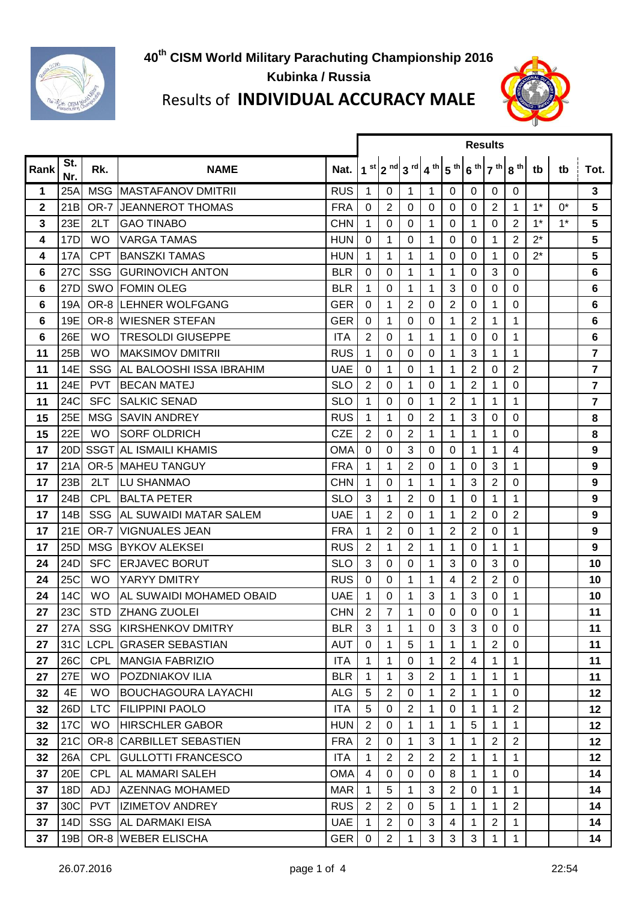

## **Kubinka / Russia**



## Results of **INDIVIDUAL ACCURACY MALE**

|             |                 |            |                               |            | <b>Results</b> |                |                                                                               |              |                |                |                |                                   |       |       |                |  |
|-------------|-----------------|------------|-------------------------------|------------|----------------|----------------|-------------------------------------------------------------------------------|--------------|----------------|----------------|----------------|-----------------------------------|-------|-------|----------------|--|
| Rank        | St.<br>Nr.      | Rk.        | <b>NAME</b>                   | Nat.       |                |                | $1st$   2 <sup>nd</sup>   3 <sup>rd</sup>   4 <sup>th</sup>   5 <sup>th</sup> |              |                |                |                | $6^{th}$ 7 <sup>th</sup> $8^{th}$ | tb    | tb    | Tot.           |  |
| 1           | 25A             |            | MSG MASTAFANOV DMITRII        | <b>RUS</b> | 1              | $\mathbf 0$    | $\mathbf{1}$                                                                  | 1            | 0              | $\mathbf 0$    | 0              | 0                                 |       |       | 3              |  |
| $\mathbf 2$ | 21B             |            | <b>OR-7 JJEANNEROT THOMAS</b> | <b>FRA</b> | 0              | $\overline{2}$ | $\mathbf 0$                                                                   | 0            | $\mathbf 0$    | $\mathbf 0$    | $\overline{2}$ | $\mathbf{1}$                      | $1^*$ | $0^*$ | 5              |  |
| 3           | 23E             | 2LT        | <b>GAO TINABO</b>             | <b>CHN</b> | 1              | 0              | $\Omega$                                                                      | $\mathbf 1$  | 0              | $\mathbf 1$    | 0              | 2                                 | $1^*$ | $1^*$ | 5              |  |
| 4           | 17D             | <b>WO</b>  | <b>VARGA TAMAS</b>            | <b>HUN</b> | 0              | 1              | 0                                                                             | $\mathbf{1}$ | 0              | $\mathbf 0$    | 1              | $\overline{2}$                    | $2^*$ |       | 5              |  |
| 4           | 17A             | <b>CPT</b> | <b>IBANSZKI TAMAS</b>         | <b>HUN</b> | 1              | 1              | 1                                                                             | 1            | 0              | $\Omega$       | 1              | $\Omega$                          | $2^*$ |       | 5              |  |
| 6           | 27C             |            | <b>SSG GURINOVICH ANTON</b>   | <b>BLR</b> | 0              | 0              | 1                                                                             | 1            | 1              | $\Omega$       | 3              | $\mathbf 0$                       |       |       | 6              |  |
| 6           | 27D             |            | <b>SWO FOMIN OLEG</b>         | <b>BLR</b> | 1              | 0              | 1                                                                             | 1            | 3              | $\Omega$       | 0              | 0                                 |       |       | 6              |  |
| 6           | 19A             |            | OR-8 LEHNER WOLFGANG          | <b>GER</b> | 0              | 1              | $\overline{2}$                                                                | 0            | 2              | 0              | 1              | $\Omega$                          |       |       | 6              |  |
| 6           | 19E             |            | OR-8 WIESNER STEFAN           | <b>GER</b> | 0              | 1              | $\Omega$                                                                      | 0            | 1              | 2              | 1              | 1                                 |       |       | 6              |  |
| 6           | 26E             | <b>WO</b>  | <b>TRESOLDI GIUSEPPE</b>      | <b>ITA</b> | 2              | 0              | 1                                                                             | $\mathbf 1$  | 1              | 0              | 0              | 1                                 |       |       | 6              |  |
| 11          | 25B             | <b>WO</b>  | <b>I</b> MAKSIMOV DMITRII     | <b>RUS</b> | 1              | 0              | $\Omega$                                                                      | 0            | 1              | 3              | 1              | $\mathbf{1}$                      |       |       | $\overline{7}$ |  |
| 11          | 14E             | <b>SSG</b> | IAL BALOOSHI ISSA IBRAHIM     | <b>UAE</b> | $\Omega$       | 1              | 0                                                                             | $\mathbf{1}$ | 1              | $\overline{2}$ | 0              | 2                                 |       |       | $\overline{7}$ |  |
| 11          | 24E             | <b>PVT</b> | <b>BECAN MATEJ</b>            | <b>SLO</b> | $\overline{2}$ | $\Omega$       | 1                                                                             | 0            | 1              | $\overline{2}$ | 1              | $\mathbf 0$                       |       |       | $\overline{7}$ |  |
| 11          | 24C             | <b>SFC</b> | <b>SALKIC SENAD</b>           | <b>SLO</b> | 1              | 0              | 0                                                                             | 1            | 2              | 1              | 1              | 1                                 |       |       | $\overline{7}$ |  |
| 15          | 25E             |            | MSG SAVIN ANDREY              | <b>RUS</b> | 1              | 1              | $\Omega$                                                                      | 2            | 1              | 3              | $\Omega$       | 0                                 |       |       | 8              |  |
| 15          | 22E             | <b>WO</b>  | <b>SORF OLDRICH</b>           | <b>CZE</b> | $\overline{2}$ | 0              | $\overline{2}$                                                                | 1            | 1              | 1              | 1              | 0                                 |       |       | 8              |  |
| 17          | 20D             |            | SSGT AL ISMAILI KHAMIS        | OMA        | 0              | 0              | 3                                                                             | 0            | 0              | 1              | 1              | 4                                 |       |       | 9              |  |
| 17          | 21A             |            | <b>OR-5 IMAHEU TANGUY</b>     | <b>FRA</b> | 1              | 1              | $\overline{2}$                                                                | 0            | 1              | 0              | 3              | 1                                 |       |       | 9              |  |
| 17          | 23B             | 2LT        | <b>LU SHANMAO</b>             | <b>CHN</b> | 1              | $\mathbf 0$    | 1                                                                             | 1            | 1              | 3              | $\overline{2}$ | 0                                 |       |       | 9              |  |
| 17          | 24B             | <b>CPL</b> | <b>BALTA PETER</b>            | <b>SLO</b> | 3              | 1              | $\overline{2}$                                                                | 0            | 1              | 0              | 1              | 1                                 |       |       | 9              |  |
| 17          | 14B             | <b>SSG</b> | <b>AL SUWAIDI MATAR SALEM</b> | <b>UAE</b> | 1              | $\overline{2}$ | 0                                                                             | 1            | 1              | $\overline{2}$ | 0              | $\overline{2}$                    |       |       | 9              |  |
| 17          | 21E             | OR-7       | <b>VIGNUALES JEAN</b>         | <b>FRA</b> | 1              | $\overline{2}$ | $\Omega$                                                                      | 1            | 2              | $\overline{2}$ | 0              | 1                                 |       |       | 9              |  |
| 17          | 25D             |            | MSG BYKOV ALEKSEI             | <b>RUS</b> | $\overline{2}$ | 1              | $\overline{2}$                                                                | 1            | 1              | $\mathbf 0$    | 1              | 1                                 |       |       | 9              |  |
| 24          | 24D             | <b>SFC</b> | <b>ERJAVEC BORUT</b>          | <b>SLO</b> | 3              | 0              | $\mathbf 0$                                                                   | 1            | 3              | $\Omega$       | 3              | 0                                 |       |       | 10             |  |
| 24          | 25C             | <b>WO</b>  | YARYY DMITRY                  | <b>RUS</b> | $\mathbf 0$    | $\mathbf 0$    | 1                                                                             | 1            | 4              | $\overline{2}$ | $\overline{2}$ | $\mathbf 0$                       |       |       | 10             |  |
| 24          | 14C             | <b>WO</b>  | AL SUWAIDI MOHAMED OBAID      | <b>UAE</b> | 1              | 0              | 1                                                                             | 3            | 1              | 3              | 0              | 1                                 |       |       | 10             |  |
| 27          | 23C             |            | STD ZHANG ZUOLEI              | <b>CHN</b> | $\overline{2}$ | $\overline{7}$ | 1                                                                             | 0            | 0              | $\mathbf 0$    | $\overline{0}$ | 1                                 |       |       | 11             |  |
| 27          | 27A             |            | <b>SSG KIRSHENKOV DMITRY</b>  | <b>BLR</b> | 3              | $\mathbf{1}$   | $\mathbf{1}$                                                                  | 0            | 3              | 3              | 0              | 0                                 |       |       | 11             |  |
| 27          | 31C             |            | LCPL GRASER SEBASTIAN         | <b>AUT</b> | $\mathbf 0$    | $\mathbf 1$    | 5                                                                             | 1            | 1              | 1              | $\overline{2}$ | $\mathbf 0$                       |       |       | 11             |  |
| 27          | 26C             | <b>CPL</b> | <b>MANGIA FABRIZIO</b>        | <b>ITA</b> | 1              | $\mathbf 1$    | $\Omega$                                                                      | 1            | $\overline{2}$ | 4              | 1              | $\mathbf{1}$                      |       |       | 11             |  |
| 27          | 27E             | <b>WO</b>  | POZDNIAKOV ILIA               | <b>BLR</b> | 1              | $\mathbf 1$    | 3                                                                             | 2            | 1              | 1              | 1              | $\mathbf 1$                       |       |       | 11             |  |
| 32          | 4E              | <b>WO</b>  | <b>BOUCHAGOURA LAYACHI</b>    | <b>ALG</b> | 5              | $\overline{2}$ | 0                                                                             | 1            | 2              | 1              | 1              | 0                                 |       |       | $12 \,$        |  |
| 32          | 26D             | <b>LTC</b> | <b>FILIPPINI PAOLO</b>        | <b>ITA</b> | 5              | 0              | $\overline{2}$                                                                | 1            | $\mathbf 0$    | 1              | 1              | $\overline{2}$                    |       |       | $12 \,$        |  |
| 32          | 17 <sup>C</sup> | <b>WO</b>  | <b>HIRSCHLER GABOR</b>        | <b>HUN</b> | 2              | $\Omega$       | 1                                                                             | $\mathbf 1$  | 1              | 5              | 1              | 1                                 |       |       | $12 \,$        |  |
| 32          | 21C             |            | OR-8 CARBILLET SEBASTIEN      | <b>FRA</b> | $\overline{2}$ | 0              | 1                                                                             | 3            | 1              | 1              | $\overline{2}$ | $\overline{2}$                    |       |       | $12 \,$        |  |
| 32          | 26A             | <b>CPL</b> | <b>GULLOTTI FRANCESCO</b>     | ITA        | 1              | 2              | $\overline{2}$                                                                | 2            | 2              | 1              | 1              | $\mathbf{1}$                      |       |       | $12 \,$        |  |
| 37          | 20E             | <b>CPL</b> | AL MAMARI SALEH               | <b>OMA</b> | 4              | 0              | 0                                                                             | 0            | 8              | 1              | 1              | $\Omega$                          |       |       | 14             |  |
| 37          | 18D             | ADJ        | <b>AZENNAG MOHAMED</b>        | <b>MAR</b> | 1              | 5              | 1                                                                             | 3            | 2              | $\mathbf 0$    | $\mathbf 1$    | $\mathbf 1$                       |       |       | 14             |  |
| 37          | 30C             | <b>PVT</b> | <b>IZIMETOV ANDREY</b>        | <b>RUS</b> | $\mathbf{2}$   | $\overline{2}$ | $\Omega$                                                                      | 5            | 1              | 1              | 1              | $\overline{2}$                    |       |       | 14             |  |
| 37          | 14D             |            | SSG AL DARMAKI EISA           | <b>UAE</b> | 1              | $\overline{2}$ | $\Omega$                                                                      | 3            | 4              | 1              | $\overline{2}$ | $\mathbf 1$                       |       |       | 14             |  |
| 37          | 19B             |            | OR-8 WEBER ELISCHA            | <b>GER</b> | 0              | $\overline{2}$ | 1                                                                             | 3            | 3              | 3              | 1              | 1                                 |       |       | 14             |  |
|             |                 |            |                               |            |                |                |                                                                               |              |                |                |                |                                   |       |       |                |  |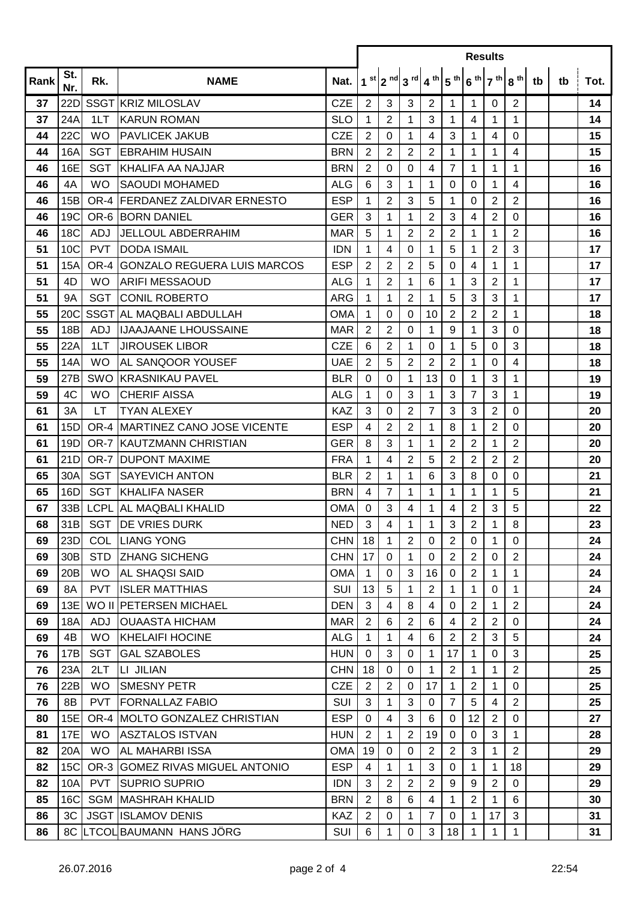|          |                 |                  |                                                         |                          |                               |                   | <b>Results</b>                                                                                                                         |                   |                               |                  |                |                   |    |    |          |  |  |
|----------|-----------------|------------------|---------------------------------------------------------|--------------------------|-------------------------------|-------------------|----------------------------------------------------------------------------------------------------------------------------------------|-------------------|-------------------------------|------------------|----------------|-------------------|----|----|----------|--|--|
| Rank     | St.<br>Nr.      | Rk.              | <b>NAME</b>                                             | Nat.                     |                               |                   | $1^{st}$   2 <sup>nd</sup>   3 <sup>rd</sup>   4 <sup>th</sup>   5 <sup>th</sup>   6 <sup>th</sup>   7 <sup>th</sup>   8 <sup>th</sup> |                   |                               |                  |                |                   | tb | tb | Tot.     |  |  |
| 37       | 22D             |                  | SSGT KRIZ MILOSLAV                                      | <b>CZE</b>               | 2                             | 3                 | 3                                                                                                                                      | $\mathbf{2}$      | $\mathbf{1}$                  | 1                | 0              | $\overline{2}$    |    |    | 14       |  |  |
| 37       | 24A             | 1LT              | <b>KARUN ROMAN</b>                                      | <b>SLO</b>               | 1                             | $\overline{2}$    | 1                                                                                                                                      | 3                 | 1                             | 4                | 1              | 1                 |    |    | 14       |  |  |
| 44       | <b>22C</b>      | <b>WO</b>        | <b>PAVLICEK JAKUB</b>                                   | <b>CZE</b>               | $\overline{2}$                | 0                 | 1                                                                                                                                      | 4                 | 3                             | 1                | 4              | $\Omega$          |    |    | 15       |  |  |
| 44       | 16A             | <b>SGT</b>       | <b>EBRAHIM HUSAIN</b>                                   | <b>BRN</b>               | $\overline{2}$                | 2                 | $\overline{2}$                                                                                                                         | $\overline{2}$    | 1                             | 1                | 1              | $\overline{4}$    |    |    | 15       |  |  |
| 46       | 16E             | <b>SGT</b>       | KHALIFA AA NAJJAR                                       | <b>BRN</b>               | $\overline{2}$                | $\mathbf 0$       | $\Omega$                                                                                                                               | 4                 | $\overline{7}$                | 1                | 1              | 1                 |    |    | 16       |  |  |
| 46       | 4A              | <b>WO</b>        | ISAOUDI MOHAMED                                         | <b>ALG</b>               | 6                             | 3                 | 1                                                                                                                                      | 1                 | 0                             | 0                | 1              | 4                 |    |    | 16       |  |  |
| 46       | 15B             |                  | OR-4 FERDANEZ ZALDIVAR ERNESTO                          | <b>ESP</b>               | 1                             | $\overline{2}$    | 3                                                                                                                                      | 5                 | 1                             | $\Omega$         | $\overline{2}$ | $\overline{2}$    |    |    | 16       |  |  |
| 46       | 19C             |                  | <b>OR-6 BORN DANIEL</b>                                 | <b>GER</b>               | 3                             | 1                 | 1                                                                                                                                      | 2                 | 3                             | 4                | 2              | 0                 |    |    | 16       |  |  |
| 46       | 18 <sub>C</sub> | ADJ              | <b>JELLOUL ABDERRAHIM</b>                               | <b>MAR</b>               | 5                             | 1                 | $\overline{2}$                                                                                                                         | $\overline{2}$    | $\overline{2}$                | 1                | 1              | $\overline{2}$    |    |    | 16       |  |  |
| 51       | 10 <sup>C</sup> | <b>PVT</b>       | <b>DODA ISMAIL</b>                                      | <b>IDN</b>               | 1                             | 4                 | 0                                                                                                                                      | 1                 | 5                             | 1                | 2              | 3                 |    |    | 17       |  |  |
| 51       | 15A             |                  | OR-4 GONZALO REGUERA LUIS MARCOS                        | <b>ESP</b>               | $\overline{2}$                | $\overline{2}$    | $\overline{2}$                                                                                                                         | 5                 | 0                             | 4                | 1              | 1                 |    |    | 17       |  |  |
| 51       | 4D              | <b>WO</b>        | <b>ARIFI MESSAOUD</b>                                   | <b>ALG</b>               | 1                             | $\overline{c}$    | 1                                                                                                                                      | 6                 | 1                             | 3                | 2              | 1                 |    |    | 17       |  |  |
| 51       | <b>9A</b>       | <b>SGT</b>       | <b>CONIL ROBERTO</b>                                    | <b>ARG</b>               | 1                             | 1                 | $\overline{2}$                                                                                                                         | 1                 | 5                             | 3                | 3              | 1                 |    |    | 17       |  |  |
| 55       | 20C             |                  | SSGT AL MAQBALI ABDULLAH                                | <b>OMA</b>               | 1                             | 0                 | 0                                                                                                                                      | 10                | $\overline{2}$                | 2                | 2              | 1                 |    |    | 18       |  |  |
| 55       | 18B             | ADJ              | <b>IJAAJAANE LHOUSSAINE</b>                             | <b>MAR</b>               | $\overline{2}$                | $\overline{2}$    | 0                                                                                                                                      | 1                 | 9                             | 1                | 3              | $\mathbf 0$       |    |    | 18       |  |  |
| 55       | 22A             | 1LT              | <b>JIROUSEK LIBOR</b>                                   | <b>CZE</b>               | 6                             | $\overline{2}$    | 1                                                                                                                                      | 0                 | $\mathbf 1$                   | 5                | 0              | $\mathbf{3}$      |    |    | 18       |  |  |
| 55       | 14A             | <b>WO</b>        | <b>AL SANQOOR YOUSEF</b>                                | <b>UAE</b>               | $\overline{2}$                | 5                 | $\overline{2}$                                                                                                                         | $\overline{2}$    | $\overline{2}$                | 1                | $\mathbf 0$    | $\overline{4}$    |    |    | 18       |  |  |
| 59       | 27B             |                  | SWO KRASNIKAU PAVEL                                     | <b>BLR</b>               | 0                             | $\pmb{0}$         | 1                                                                                                                                      | 13                | $\mathbf 0$                   | 1                | 3              | 1                 |    |    | 19       |  |  |
| 59       | 4C              | <b>WO</b>        | <b>CHERIF AISSA</b>                                     | <b>ALG</b>               | 1                             | $\mathbf 0$       | 3                                                                                                                                      | 1                 | 3                             | 7                | 3              | 1                 |    |    | 19       |  |  |
| 61       | 3A              | <b>LT</b>        | <b>TYAN ALEXEY</b>                                      | KAZ                      | 3                             | $\pmb{0}$         | $\overline{2}$                                                                                                                         | $\overline{7}$    | 3                             | 3                | $\overline{2}$ | $\mathbf 0$       |    |    | 20       |  |  |
| 61       | 15D             |                  | OR-4 MARTINEZ CANO JOSE VICENTE                         | <b>ESP</b>               | 4                             | $\overline{2}$    | $\overline{2}$                                                                                                                         | 1                 | 8                             | 1                | $\overline{2}$ | $\mathbf 0$       |    |    | 20       |  |  |
| 61       | 19D             |                  | OR-7 KAUTZMANN CHRISTIAN                                | <b>GER</b>               | 8                             | 3                 | 1                                                                                                                                      | 1                 | $\overline{2}$                | $\overline{2}$   | 1              | $\overline{2}$    |    |    | 20       |  |  |
| 61       | 21D             |                  | <b>OR-7 DUPONT MAXIME</b>                               | <b>FRA</b>               | 1                             | 4                 | $\overline{2}$                                                                                                                         | 5                 | $\overline{2}$                | $\overline{2}$   | 2              | $\overline{2}$    |    |    | 20       |  |  |
| 65       | 30A             | <b>SGT</b>       | <b>SAYEVICH ANTON</b>                                   | <b>BLR</b>               | $\overline{2}$                | 1                 | 1                                                                                                                                      | 6                 | 3                             | 8                | 0              | $\mathbf 0$       |    |    | 21       |  |  |
| 65       | 16D             | <b>SGT</b>       | <b>KHALIFA NASER</b>                                    | <b>BRN</b>               | 4                             | $\overline{7}$    | 1                                                                                                                                      | 1                 | $\mathbf 1$                   | 1                | 1              | 5                 |    |    | 21       |  |  |
| 67       | 33B             |                  | LCPL AL MAQBALI KHALID                                  | <b>OMA</b>               | $\mathbf 0$                   | 3                 | 4                                                                                                                                      | 1                 | 4                             | $\overline{2}$   | 3              | 5                 |    |    | 22       |  |  |
| 68       |                 |                  | 31B SGT DE VRIES DURK                                   | <b>NED</b>               | 3                             | $\overline{4}$    | $\mathbf 1$                                                                                                                            | 1                 | 3                             | $\overline{2}$   | 1              | 8                 |    |    | 23       |  |  |
| 69       | 23D             |                  | <b>COL LIANG YONG</b>                                   | <b>CHN</b>               | 18                            | $\mathbf{1}$      | 2                                                                                                                                      | 0                 | 2                             | $\Omega$         | 1              | $\Omega$          |    |    | 24       |  |  |
| 69       | 30 <sub>B</sub> | <b>STD</b>       | <b>ZHANG SICHENG</b>                                    | <b>CHN</b>               | 17                            | $\Omega$          | 1                                                                                                                                      | 0                 | $\overline{2}$                | $\overline{2}$   | 0              | $\overline{2}$    |    |    | 24       |  |  |
| 69       | 20B             | <b>WO</b>        | <b>AL SHAQSI SAID</b>                                   | <b>OMA</b>               | $\mathbf{1}$                  | $\Omega$          | 3                                                                                                                                      | 16                | $\mathbf 0$                   | $\overline{2}$   | 1              | $\mathbf{1}$      |    |    | 24       |  |  |
| 69       | 8A              | <b>PVT</b>       | <b>ISLER MATTHIAS</b>                                   | SUI                      | 13                            | 5                 | 1                                                                                                                                      | $\overline{c}$    | 1                             | 1                | 0              | $\mathbf 1$       |    |    | 24       |  |  |
| 69       | 13E             |                  | WO II PETERSEN MICHAEL                                  | <b>DEN</b>               | 3                             | 4                 | 8                                                                                                                                      | 4                 | $\Omega$                      | $\overline{2}$   | 1              | $\overline{2}$    |    |    | 24       |  |  |
| 69       | 18A             | <b>ADJ</b>       | OUAASTA HICHAM                                          | <b>MAR</b>               | $\overline{2}$                | 6                 | $\mathbf{2}$                                                                                                                           | 6                 | 4                             | $\overline{2}$   | 2              | $\Omega$          |    |    | 24       |  |  |
| 69       | 4B              | <b>WO</b>        | <b>I</b> KHELAIFI HOCINE                                | <b>ALG</b>               | $\mathbf 1$                   | 1                 | 4                                                                                                                                      | 6                 | $\overline{2}$                | $\overline{2}$   | 3              | 5                 |    |    | 24       |  |  |
| 76       | 17B             | <b>SGT</b>       | <b>GAL SZABOLES</b>                                     | <b>HUN</b>               | 0                             | 3                 | 0                                                                                                                                      | 1                 | 17                            | 1                | 0              | $\mathbf{3}$      |    |    | 25       |  |  |
| 76       | 23A             | 2LT              | LI JILIAN                                               | <b>CHN</b>               | 18                            | 0                 | $\Omega$                                                                                                                               | 1                 | $\overline{2}$                | 1                | 1              | $\overline{2}$    |    |    | 25       |  |  |
| 76       | 22B             | <b>WO</b>        | <b>SMESNY PETR</b>                                      | <b>CZE</b>               | 2                             | $\overline{2}$    | 0                                                                                                                                      | 17                | 1                             | $\overline{2}$   | 1              | 0                 |    |    | 25       |  |  |
| 76       | 8B              | <b>PVT</b>       | FORNALLAZ FABIO                                         | <b>SUI</b>               | 3                             | 1                 | 3                                                                                                                                      | $\mathbf 0$       | $\overline{7}$                | 5                | 4              | $\overline{2}$    |    |    | 25       |  |  |
| 80       | 15E             |                  | OR-4 MOLTO GONZALEZ CHRISTIAN                           | <b>ESP</b>               | $\mathbf 0$<br>$\overline{2}$ | 4                 | 3<br>$\overline{2}$                                                                                                                    | 6<br>19           | 0                             | 12               | 2<br>3         | 0<br>$\mathbf{1}$ |    |    | 27       |  |  |
| 81       | 17E             | WO.<br><b>WO</b> | ASZTALOS ISTVAN<br>AL MAHARBI ISSA                      | <b>HUN</b>               |                               | 1                 |                                                                                                                                        |                   | 0                             | 0                |                | $\overline{2}$    |    |    | 28       |  |  |
| 82<br>82 | 20A<br>15C      |                  |                                                         | <b>OMA</b><br><b>ESP</b> | 19<br>$\overline{4}$          | 0<br>$\mathbf{1}$ | 0                                                                                                                                      | $\mathbf{2}$<br>3 | $\overline{2}$<br>$\mathbf 0$ | 3<br>$\mathbf 1$ | 1<br>1         | 18                |    |    | 29<br>29 |  |  |
|          | 10A             | <b>PVT</b>       | OR-3 GOMEZ RIVAS MIGUEL ANTONIO<br><b>SUPRIO SUPRIO</b> | <b>IDN</b>               | 3                             | $\mathbf{2}$      | 1<br>$\overline{2}$                                                                                                                    | $\overline{c}$    | 9                             | 9                | $\overline{2}$ | 0                 |    |    |          |  |  |
| 82       | <b>16C</b>      |                  |                                                         | <b>BRN</b>               | $\overline{2}$                | 8                 | $6\phantom{1}$                                                                                                                         | $\overline{4}$    |                               | $\overline{2}$   |                | 6                 |    |    | 29       |  |  |
| 85<br>86 | 3C              |                  | <b>SGM IMASHRAH KHALID</b><br><b>JSGT ISLAMOV DENIS</b> | <b>KAZ</b>               | $\overline{2}$                | 0                 | $\mathbf 1$                                                                                                                            | $\overline{7}$    | $\mathbf{1}$<br>0             | $\mathbf{1}$     | 1<br>17        | 3                 |    |    | 30<br>31 |  |  |
| 86       |                 |                  | 8C LTCOLBAUMANN HANS JÖRG                               | SUI                      | 6                             | 1                 | 0                                                                                                                                      | 3                 | 18                            | 1                | 1              | 1                 |    |    | 31       |  |  |
|          |                 |                  |                                                         |                          |                               |                   |                                                                                                                                        |                   |                               |                  |                |                   |    |    |          |  |  |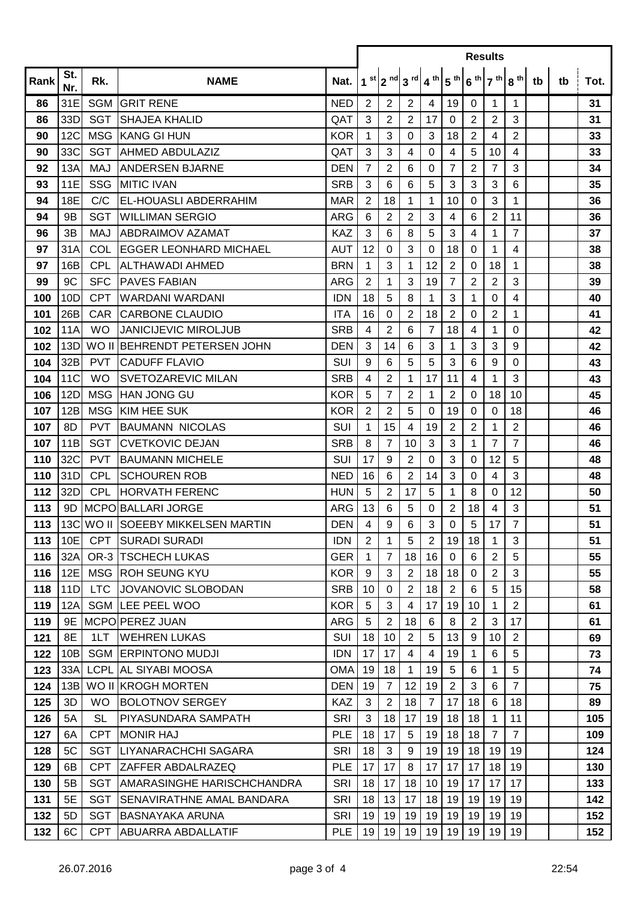|      |                |            |                                    |            | <b>Results</b> |                |                                                                          |                |                |                |                 |                        |    |    |      |  |
|------|----------------|------------|------------------------------------|------------|----------------|----------------|--------------------------------------------------------------------------|----------------|----------------|----------------|-----------------|------------------------|----|----|------|--|
| Rank | St.<br>Nr.     | Rk.        | <b>NAME</b>                        | Nat.       |                |                | $1^{st}$ 2 <sup>nd</sup> 3 <sup>rd</sup> 4 <sup>th</sup> 5 <sup>th</sup> |                |                |                |                 | $6^{th}$ 7 th $8^{th}$ | tb | tb | Tot. |  |
| 86   | 31E            |            | <b>SGM GRIT RENE</b>               | <b>NED</b> | 2              | 2              | 2                                                                        | 4              | 19             | 0              | $\mathbf{1}$    | 1                      |    |    | 31   |  |
| 86   | 33D            | <b>SGT</b> | <b>SHAJEA KHALID</b>               | QAT        | 3              | $\overline{2}$ | 2                                                                        | 17             | 0              | 2              | $\overline{2}$  | 3                      |    |    | 31   |  |
| 90   | 12C            | <b>MSG</b> | <b>KANG GI HUN</b>                 | <b>KOR</b> | 1              | 3              | 0                                                                        | 3              | 18             | 2              | 4               | 2                      |    |    | 33   |  |
| 90   | 33C            | <b>SGT</b> | <b>AHMED ABDULAZIZ</b>             | QAT        | 3              | 3              | 4                                                                        | 0              | 4              | 5              | 10              | 4                      |    |    | 33   |  |
| 92   | 13A            | <b>MAJ</b> | <b>JANDERSEN BJARNE</b>            | <b>DEN</b> | $\overline{7}$ | $\overline{2}$ | 6                                                                        | 0              | $\overline{7}$ | 2              | $\overline{7}$  | 3                      |    |    | 34   |  |
| 93   | 11E            | <b>SSG</b> | <b>IMITIC IVAN</b>                 | <b>SRB</b> | 3              | 6              | 6                                                                        | 5              | 3              | 3              | 3               | 6                      |    |    | 35   |  |
| 94   | <b>18E</b>     | C/C        | <b>EL-HOUASLI ABDERRAHIM</b>       | <b>MAR</b> | 2              | 18             | 1                                                                        | 1              | 10             | 0              | 3               | 1                      |    |    | 36   |  |
| 94   | 9 <sub>B</sub> | <b>SGT</b> | <b>WILLIMAN SERGIO</b>             | <b>ARG</b> | 6              | $\overline{2}$ | 2                                                                        | 3              | $\overline{4}$ | 6              | $\overline{2}$  | 11                     |    |    | 36   |  |
| 96   | 3B             | MAJ        | <b>ABDRAIMOV AZAMAT</b>            | <b>KAZ</b> | 3              | 6              | 8                                                                        | 5              | 3              | 4              | 1               | $\overline{7}$         |    |    | 37   |  |
| 97   | 31A            | COL        | <b>IEGGER LEONHARD MICHAEL</b>     | <b>AUT</b> | 12             | 0              | 3                                                                        | 0              | 18             | 0              | 1               | 4                      |    |    | 38   |  |
| 97   | 16B            | <b>CPL</b> | <b>ALTHAWADI AHMED</b>             | <b>BRN</b> | 1              | 3              | 1                                                                        | 12             | $\overline{2}$ | 0              | 18              | 1                      |    |    | 38   |  |
| 99   | 9C             | <b>SFC</b> | <b>PAVES FABIAN</b>                | ARG        | $\overline{2}$ | 1              | 3                                                                        | 19             | 7              | $\overline{c}$ | $\overline{2}$  | 3                      |    |    | 39   |  |
| 100  | 10D            | <b>CPT</b> | <b>IWARDANI WARDANI</b>            | <b>IDN</b> | 18             | 5              | 8                                                                        | 1              | 3              | 1              | 0               | 4                      |    |    | 40   |  |
| 101  | 26B            | <b>CAR</b> | <b>CARBONE CLAUDIO</b>             | <b>ITA</b> | 16             | 0              | 2                                                                        | 18             | $\overline{2}$ | 0              | $\overline{2}$  | 1                      |    |    | 41   |  |
| 102  | 11A            | <b>WO</b>  | <b>JANICIJEVIC MIROLJUB</b>        | <b>SRB</b> | 4              | $\overline{2}$ | 6                                                                        | 7              | 18             | 4              | 1               | 0                      |    |    | 42   |  |
| 102  | 13D            |            | WO II BEHRENDT PETERSEN JOHN       | <b>DEN</b> | 3              | 14             | 6                                                                        | 3              | 1              | 3              | 3               | 9                      |    |    | 42   |  |
| 104  | 32B            | <b>PVT</b> | <b>CADUFF FLAVIO</b>               | SUI        | 9              | 6              | 5                                                                        | 5              | 3              | 6              | 9               | 0                      |    |    | 43   |  |
| 104  | 11C            | <b>WO</b>  | <b>ISVETOZAREVIC MILAN</b>         | <b>SRB</b> | 4              | $\overline{2}$ | 1                                                                        | 17             | 11             | 4              | 1               | 3                      |    |    | 43   |  |
| 106  | 12D            | <b>MSG</b> | <b>HAN JONG GU</b>                 | <b>KOR</b> | 5              | $\overline{7}$ | $\overline{2}$                                                           | $\mathbf 1$    | $\overline{2}$ | 0              | 18              | 10                     |    |    | 45   |  |
| 107  | 12B            |            | MSG KIM HEE SUK                    | <b>KOR</b> | 2              | $\overline{2}$ | 5                                                                        | 0              | 19             | 0              | 0               | 18                     |    |    | 46   |  |
| 107  | 8D             | <b>PVT</b> | BAUMANN NICOLAS                    | SUI        | 1              | 15             | 4                                                                        | 19             | $\overline{2}$ | 2              | 1               | $\overline{2}$         |    |    | 46   |  |
| 107  | 11B            | <b>SGT</b> | <b>CVETKOVIC DEJAN</b>             | <b>SRB</b> | 8              | $\overline{7}$ | 10                                                                       | 3              | 3              | 1              | $\overline{7}$  | $\overline{7}$         |    |    | 46   |  |
| 110  | 32C            | <b>PVT</b> | <b>BAUMANN MICHELE</b>             | SUI        | 17             | 9              | $\overline{2}$                                                           | 0              | 3              | 0              | 12              | 5                      |    |    | 48   |  |
| 110  | 31D            | <b>CPL</b> | <b>SCHOUREN ROB</b>                | <b>NED</b> | 16             | 6              | 2                                                                        | 14             | 3              | 0              | 4               | 3                      |    |    | 48   |  |
| 112  | 32D            | <b>CPL</b> | <b>HORVATH FERENC</b>              | <b>HUN</b> | 5              | 2              | 17                                                                       | 5              | 1              | 8              | 0               | 12                     |    |    | 50   |  |
| 113  | 9D             |            | MCPO BALLARI JORGE                 | <b>ARG</b> | 13             | 6              | 5                                                                        | 0              | 2              | 18             | 4               | 3                      |    |    | 51   |  |
| 113  |                |            | 13C WO II SOEEBY MIKKELSEN MARTIN  | <b>DEN</b> | 4              | $9\,$          | 6                                                                        | 3              | $\mathbf 0$    | 5              | 17 <sup>1</sup> | $\overline{7}$         |    |    | 51   |  |
| 113  | 10E            | <b>CPT</b> | <b>SURADI SURADI</b>               | <b>IDN</b> | 2              | $\mathbf 1$    | 5                                                                        | 2              | 19             | 18             | $\mathbf{1}$    | 3                      |    |    | 51   |  |
| 116  | 32A            |            | <b>OR-3 TSCHECH LUKAS</b>          | <b>GER</b> | $\mathbf 1$    | 7              | 18                                                                       | 16             | 0              | 6              | $\overline{2}$  | 5                      |    |    | 55   |  |
| 116  | 12E            |            | MSG ROH SEUNG KYU                  | <b>KOR</b> | 9              | 3              | $\overline{2}$                                                           | 18             | 18             | 0              | $\overline{2}$  | 3                      |    |    | 55   |  |
| 118  | 11D            | <b>LTC</b> | <b>JOVANOVIC SLOBODAN</b>          | <b>SRB</b> | 10             | 0              | $\overline{2}$                                                           | 18             | $\overline{2}$ | 6              | 5               | 15                     |    |    | 58   |  |
| 119  | 12A            |            | SGM LEE PEEL WOO                   | <b>KOR</b> | 5              | 3              | $\overline{4}$                                                           | 17             | 19             | 10             | 1               | $\overline{2}$         |    |    | 61   |  |
| 119  | 9E             |            | MCPO PEREZ JUAN                    | <b>ARG</b> | 5              | $\overline{2}$ | 18                                                                       | 6              | 8              | $\overline{2}$ | 3               | 17                     |    |    | 61   |  |
| 121  | 8E             | 1LT        | <b>WEHREN LUKAS</b>                | <b>SUI</b> | 18             | 10             | $\overline{2}$                                                           | 5              | 13             | 9              | 10              | $\overline{2}$         |    |    | 69   |  |
| 122  | 10B            |            | <b>SGM LERPINTONO MUDJI</b>        | <b>IDN</b> | 17             | 17             | 4                                                                        | 4              | 19             | 1              | 6               | 5                      |    |    | 73   |  |
| 123  | 33A            |            | <b>LCPL AL SIYABI MOOSA</b>        | <b>OMA</b> | 19             | 18             | 1                                                                        | 19             | 5              | 6              | 1               | 5                      |    |    | 74   |  |
| 124  | 13B            |            | WO II KROGH MORTEN                 | <b>DEN</b> | 19             | 7              | 12                                                                       | 19             | $\overline{2}$ | 3              | 6               | $\overline{7}$         |    |    | 75   |  |
| 125  | 3D             | <b>WO</b>  | <b>BOLOTNOV SERGEY</b>             | <b>KAZ</b> | 3              | $\overline{2}$ | 18                                                                       | $\overline{7}$ | 17             | 18             | 6               | 18                     |    |    | 89   |  |
| 126  | 5A             | <b>SL</b>  | IPIYASUNDARA SAMPATH               | <b>SRI</b> | 3              | 18             | 17                                                                       | 19             | 18             | 18             | 1               | 11                     |    |    | 105  |  |
| 127  | 6A             | <b>CPT</b> | <b>MONIR HAJ</b>                   | <b>PLE</b> | 18             | 17             | 5                                                                        | 19             | 18             | 18             | $\overline{7}$  | $\overline{7}$         |    |    | 109  |  |
| 128  | 5C             | <b>SGT</b> | LIYANARACHCHI SAGARA               | <b>SRI</b> | 18             | 3              | 9                                                                        | 19             | 19             | 18             | 19              | 19                     |    |    | 124  |  |
| 129  | 6B             | <b>CPT</b> | <b>ZAFFER ABDALRAZEQ</b>           | <b>PLE</b> | 17             | 17             | 8                                                                        | 17             | 17             | 17             | 18              | 19                     |    |    | 130  |  |
| 130  | 5B             | <b>SGT</b> | <b>JAMARASINGHE HARISCHCHANDRA</b> | <b>SRI</b> | 18             | 17             | 18                                                                       | 10             | 19             | 17             | 17              | 17                     |    |    | 133  |  |
| 131  | 5E             | <b>SGT</b> | <b>ISENAVIRATHNE AMAL BANDARA</b>  | <b>SRI</b> | 18             | 13             | 17                                                                       | 18             | 19             | 19             | 19              | 19                     |    |    | 142  |  |
| 132  | 5D             | <b>SGT</b> | <b>BASNAYAKA ARUNA</b>             | SRI        | 19             | 19             | 19                                                                       | 19             | 19             | 19             | 19              | 19                     |    |    | 152  |  |
| 132  | 6C             | <b>CPT</b> | <b>ABUARRA ABDALLATIF</b>          | <b>PLE</b> | 19             | 19             | 19                                                                       | 19             | 19             | 19             | 19              | 19                     |    |    | 152  |  |